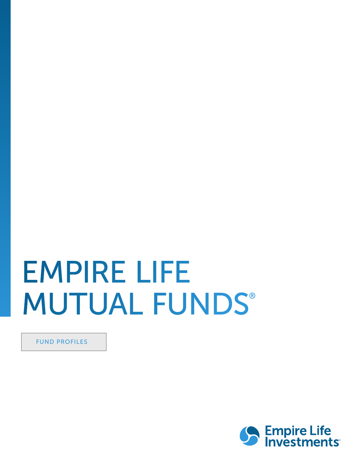# EMPIRE LIFE **MUTUAL FUNDS®**

FUND PROFILES

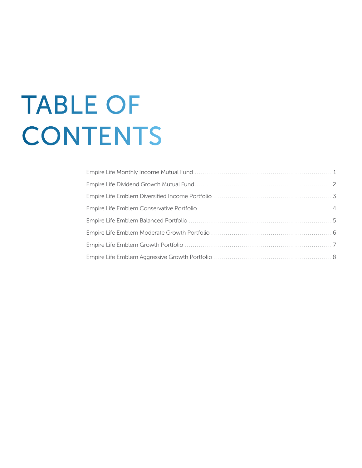# TABLE OF **CONTENTS**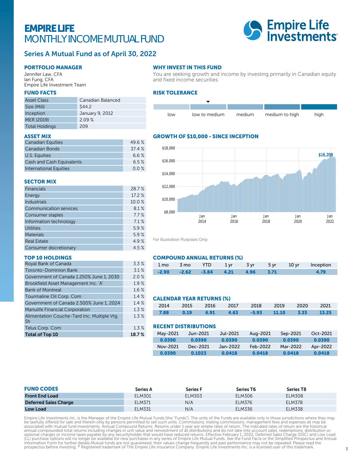## EMPIRE LIFE MONTHLY INCOME MUTUAL FUND



### Series A Mutual Fund as of April 30, 2022

#### PORTFOLIO MANAGER

Jennifer Law, CFA Ian Fung, CFA Empire Life Investment Team

#### FUND FACTS

| <b>Asset Class</b>    | Canadian Balanced |
|-----------------------|-------------------|
| Size (Mill)           | \$44.2            |
| Inception             | January 9, 2012   |
| MER (2019)            | 2.09%             |
| <b>Total Holdings</b> | 209               |

#### ASSET MIX

| <b>Canadian Equities</b>         | 49.6 % |
|----------------------------------|--------|
| Canadian Bonds                   | 37.4 % |
| U.S. Equities                    | 6.6%   |
| <b>Cash and Cash Equivalents</b> | 6.5%   |
| <b>International Equities</b>    | 0.0%   |

#### SECTOR MIX

| <b>Financials</b>             | 28.7%  |
|-------------------------------|--------|
| Energy                        | 17.2 % |
| <b>Industrials</b>            | 10.0%  |
| <b>Communication services</b> | 8.1%   |
| Consumer staples              | 7.7%   |
| Information technology        | 7.1%   |
| <b>Utilities</b>              | 5.9%   |
| <b>Materials</b>              | 5.9%   |
| <b>Real Estate</b>            | 4.9%   |
| Consumer discretionary        | 4.5%   |

#### TOP 10 HOLDINGS

| Royal Bank of Canada                             | 3.3%  |
|--------------------------------------------------|-------|
| <b>Toronto-Dominion Bank</b>                     | 3.1%  |
| Government of Canada 1.250% June 1, 2030         | 2.0%  |
| Brookfield Asset Management Inc. 'A'             | 1.9%  |
| <b>Bank of Montreal</b>                          | 1.6%  |
| Tourmaline Oil Corp. Com                         | 1.4%  |
| Government of Canada 2.500% June 1, 2024         | 1.4%  |
| <b>Manulife Financial Corporation</b>            | 1.3%  |
| Alimentation Couche-Tard Inc. Multiple Vtg<br>Sh | 1.3%  |
| Telus Corp. Com                                  | 1.3%  |
| <b>Total of Top 10</b>                           | 18.7% |

#### WHY INVEST IN THIS FUND

You are seeking growth and income by investing primarily in Canadian equity and fixed income securities

#### RISK TOLERANCE



#### GROWTH OF \$10,000 - SINCE INCEPTION



For Illustration Purposes Only

#### COMPOUND ANNUAL RETURNS (%)

|  |                                              |  |  | 1 mo 3 mo YTD 1 yr 3 yr 5 yr 10 yr Inception |
|--|----------------------------------------------|--|--|----------------------------------------------|
|  | $-2.90$ $-2.62$ $-3.84$ $4.21$ $4.96$ $3.71$ |  |  |                                              |

#### CALENDAR YEAR RETURNS (%)

|  |  | 2014 2015 2016 2017 2018 2019 2020 2021           |  |  |
|--|--|---------------------------------------------------|--|--|
|  |  | 7.88  0.19  6.91  4.63  -5.93  11.10  3.33  13.25 |  |  |

#### RECENT DISTRIBUTIONS

| May-2021 | Jun-2021 | Jul-2021 | Aug-2021 | Sep-2021 | Oct-2021 |
|----------|----------|----------|----------|----------|----------|
| 0.0390   | 0.0390   | 0.0390   | 0.0390   | 0.0390   | 0.0390   |
| Nov-2021 | Dec-2021 | Jan-2022 | Feb-2022 | Mar-2022 | Apr-2022 |
| 0.0390   | 0.1023   | 0.0418   | 0.0418   | 0.0418   | 0.0418   |

| <b>FUND CODES</b>            | Series A | <b>Series F</b> | Series T6     | Series T8     |
|------------------------------|----------|-----------------|---------------|---------------|
| <b>Front End Load</b>        | ELM301   | ELM303          | ELM306        | <b>ELM308</b> |
| <b>Deferred Sales Charge</b> | ELM371   | N/A             | <b>ELM376</b> | <b>ELM378</b> |
| <b>Low Load</b>              | ELM331   | N/A             | <b>ELM336</b> | <b>ELM338</b> |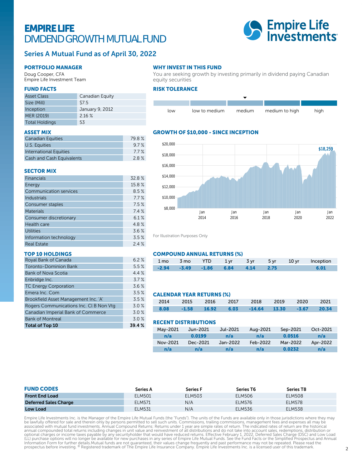## EMPIRE LIFE DIVIDEND GROWTH MUTUAL FUND



### Series A Mutual Fund as of April 30, 2022

#### PORTFOLIO MANAGER

Doug Cooper, CFA Empire Life Investment Team

#### FUND FACTS

| <b>Asset Class</b>    | Canadian Equity |
|-----------------------|-----------------|
| Size (Mill)           | \$7.5           |
| Inception             | January 9, 2012 |
| MER (2019)            | 216%            |
| <b>Total Holdings</b> | 53              |

#### ASSET MIX

| <b>Canadian Equities</b>  | 79.8% |
|---------------------------|-------|
| U.S. Equities             | 9.7%  |
| International Equities    | 7.7 % |
| Cash and Cash Equivalents | 2.8%  |

#### SECTOR MIX

| <b>Financials</b>             | 32.8%  |
|-------------------------------|--------|
| Energy                        | 15.8 % |
| <b>Communication services</b> | 8.5%   |
| <b>Industrials</b>            | 7.7%   |
| Consumer staples              | 7.5%   |
| <b>Materials</b>              | 7.4%   |
| Consumer discretionary        | 6.1%   |
| Health care                   | 4.8%   |
| <b>Utilities</b>              | 3.6%   |
| Information technology        | 3.5%   |
| <b>Real Estate</b>            | 24%    |

#### TOP 10 HOLDINGS

| Royal Bank of Canada                   | 6.2%  |
|----------------------------------------|-------|
| <b>Toronto-Dominion Bank</b>           | 5.5%  |
| <b>Bank of Nova Scotia</b>             | 4.4%  |
| Enbridge Inc.                          | 3.7%  |
| <b>TC Energy Corporation</b>           | 3.6%  |
| Emera Inc. Com                         | 3.5%  |
| Brookfield Asset Management Inc. 'A'   | 3.5%  |
| Rogers Communications Inc. CLB Non Vtg | 3.0%  |
| Canadian Imperial Bank of Commerce     | 3.0%  |
| <b>Bank of Montreal</b>                | 3.0%  |
| <b>Total of Top 10</b>                 | 39.4% |

#### WHY INVEST IN THIS FUND

You are seeking growth by investing primarily in dividend paying Canadian equity securities

#### RISK TOLERANCE



#### GROWTH OF \$10,000 - SINCE INCEPTION



For Illustration Purposes Only

#### COMPOUND ANNUAL RETURNS (%)

|  |                                              |  |  | 1 mo 3 mo YTD 1 yr 3 yr 5 yr 10 yr Inception |
|--|----------------------------------------------|--|--|----------------------------------------------|
|  | $-2.94$ $-3.49$ $-1.86$ $6.84$ $4.14$ $2.75$ |  |  | 6.01                                         |

#### CALENDAR YEAR RETURNS (%)

|  |  | 2014 2015 2016 2017 2018 2019 2020 2021        |  |  |
|--|--|------------------------------------------------|--|--|
|  |  | 8.08 -1.58 16.92 6.03 -14.64 13.30 -3.67 20.34 |  |  |

#### RECENT DISTRIBUTIONS

| May-2021 | Jun-2021 | Jul-2021 | Aug-2021 | Sep-2021 | Oct-2021 |
|----------|----------|----------|----------|----------|----------|
| n/a      | 0.0199   | n/a      | n/a      | 0.0516   | n/a      |
| Nov-2021 | Dec-2021 | Jan-2022 | Feb-2022 | Mar-2022 | Apr-2022 |
| n/a      | n/a      | n/a      | n/a      | 0.0232   | n/a      |

| <b>FUND CODES</b>            | Series A      | <b>Series F</b> | <b>Series T6</b> | Series T8     |
|------------------------------|---------------|-----------------|------------------|---------------|
| <b>Front End Load</b>        | <b>ELM501</b> | <b>ELM503</b>   | <b>ELM506</b>    | <b>ELM508</b> |
| <b>Deferred Sales Charge</b> | ELM571        | N/A             | ELM576           | <b>ELM578</b> |
| <b>Low Load</b>              | <b>ELM531</b> | N/A             | <b>ELM536</b>    | <b>ELM538</b> |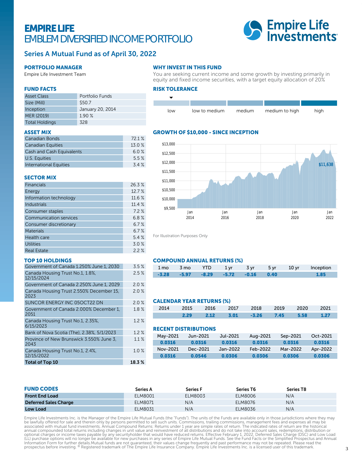## EMPIRE LIFE EMBLEM DIVERSIFIED INCOME PORTFOLIO



### Series A Mutual Fund as of April 30, 2022

#### PORTFOLIO MANAGER

Empire Life Investment Team

#### WHY INVEST IN THIS FUND

You are seeking current income and some growth by investing primarily in equity and fixed income securities, with a target equity allocation of 20%

#### RISK TOLERANCE



#### GROWTH OF \$10,000 - SINCE INCEPTION



For Illustration Purposes Only

#### COMPOUND ANNUAL RETURNS (%)

|  |                                              |  |  | 1 mo 3 mo YTD 1 yr 3 yr 5 yr 10 yr Inception |
|--|----------------------------------------------|--|--|----------------------------------------------|
|  | $-3.28$ $-5.97$ $-8.29$ $-5.72$ $-0.16$ 0.40 |  |  |                                              |

#### CALENDAR YEAR RETURNS (%)

|      |  | 2014 2015 2016 2017 2018 2019 2020 2021 |  |                     |
|------|--|-----------------------------------------|--|---------------------|
| 2.29 |  | 2.12 3.01 -3.26 7.45 5.58               |  | $\blacksquare$ 1.27 |

#### RECENT DISTRIBUTIONS

| May-2021 | Jun-2021 | Jul-2021 | Aug-2021 | Sep-2021 | Oct-2021 |
|----------|----------|----------|----------|----------|----------|
| 0.0316   | 0.0316   | 0.0316   | 0.0316   | 0.0316   | 0.0316   |
| Nov-2021 | Dec-2021 | Jan-2022 | Feb-2022 | Mar-2022 | Apr-2022 |
| 0.0316   | 0.0546   | 0.0306   | 0.0306   | 0.0306   | 0.0306   |
|          |          |          |          |          |          |

| <b>FUND CODES</b>            | Series A | <b>Series F</b> | Series T6 | Series T8 |  |
|------------------------------|----------|-----------------|-----------|-----------|--|
| <b>Front End Load</b>        | ELM8001  | ELM8003         | ELM8006   | N/A       |  |
| <b>Deferred Sales Charge</b> | ELM8071  | N/A             | ELM8076   | N/A       |  |
| Low Load                     | ELM8031  | N/A             | ELM8036   | N/A       |  |

Empire Life Investments Inc. is the Manager of the Empire Life Mutual Funds (the "Funds"). The units of the Funds are available only in those jurisdictions where they may be lawfully offered for sale and therein only by persons permitted to sell such units. Commissions, trailing commissions, management fees and expenses all may be<br>associated with mutual fund investments. Annual Compound Ret Information Form for further details.Mutual funds are not guaranteed, their values change frequently and past performance may not be repeated. Please read the<br>prospectus before investing. ® Registered trademark of The Empi

#### Asset Class Portfolio Funds

FUND FACTS

| ASSEL CIQSS           | i vitivliv i uhus |
|-----------------------|-------------------|
| Size (Mill)           | \$50.7            |
| Inception             | January 20, 2014  |
| MER (2019)            | 1.90%             |
| <b>Total Holdings</b> | 328               |

#### ASSET MIX

| <b>Canadian Bonds</b>            | 72.1 % |
|----------------------------------|--------|
| <b>Canadian Equities</b>         | 13.0%  |
| <b>Cash and Cash Equivalents</b> | 6.0%   |
| U.S. Equities                    | 5.5%   |
| <b>International Equities</b>    | 3.4%   |

#### SECTOR MIX

| Financials                    | 26.3%  |
|-------------------------------|--------|
| Energy                        | 12.7 % |
| Information technology        | 11.6 % |
| <b>Industrials</b>            | 11.4%  |
| Consumer staples              | 7.2%   |
| <b>Communication services</b> | 6.8%   |
| Consumer discretionary        | 6.7%   |
| <b>Materials</b>              | 6.7%   |
| <b>Health care</b>            | 5.4%   |
| <b>Utilities</b>              | 3.0%   |
| <b>Real Estate</b>            | 2.2%   |

#### TOP 10 HOLDINGS

| Government of Canada 1.250% June 1, 2030         | 3.5%    |
|--------------------------------------------------|---------|
| Canada Housing Trust No.1, 1.8%,<br>12/15/2024   | 2.5%    |
| Government of Canada 2.250% June 1, 2029         | 2.0%    |
| Canada Housing Trust 2.550% December 15,<br>2023 | 2.0%    |
| SUNCOR ENERGY INC 05OCT22 DN                     | $2.0\%$ |
| Government of Canada 2.000% December 1,<br>2051  | $1.8\%$ |
| Canada Housing Trust No.1, 2.35%,<br>6/15/2023   | 1.2%    |
| Bank of Nova Scotia (The), 2.38%, 5/1/2023       | 1.2%    |
| Province of New Brunswick 3.550% June 3.<br>2043 | 1.1%    |
| Canada Housing Trust No.1, 2.4%,<br>12/15/2022   | $1.0\%$ |
| <b>Total of Top 10</b>                           | 18.3%   |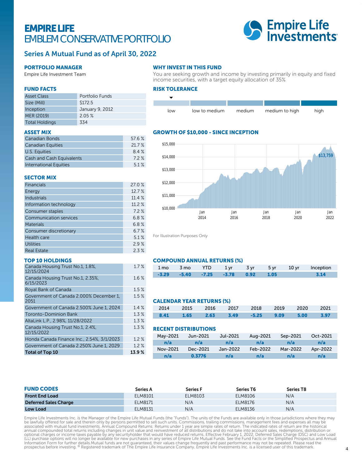## EMPIRE LIFE EMBLEM CONSERVATIVE PORTFOLIO



#### Series A Mutual Fund as of April 30, 2022

#### PORTFOLIO MANAGER

Empire Life Investment Team

## WHY INVEST IN THIS FUND

You are seeking growth and income by investing primarily in equity and fixed income securities, with a target equity allocation of 35%

#### FUND FACTS

| <b>Asset Class</b>    | Portfolio Funds |
|-----------------------|-----------------|
| Size (Mill)           | \$172.5         |
| Inception             | January 9, 2012 |
| MER (2019)            | 2.05%           |
| <b>Total Holdings</b> | 334             |

#### ASSET MIX

| <b>Canadian Bonds</b>     | 576%   |
|---------------------------|--------|
| <b>Canadian Equities</b>  | 21.7 % |
| U.S. Equities             | 8.4 %  |
| Cash and Cash Equivalents | 72%    |
| International Equities    | 51%    |

#### SECTOR MIX

| <b>Financials</b>             | 27.0 % |
|-------------------------------|--------|
| Energy                        | 12.7 % |
| <b>Industrials</b>            | 11.4%  |
| Information technology        | 11.2 % |
| Consumer staples              | 7.2%   |
| <b>Communication services</b> | 6.8%   |
| <b>Materials</b>              | 6.8%   |
| Consumer discretionary        | 6.7%   |
| Health care                   | 5.1%   |
| <b>Utilities</b>              | 2.9%   |
| <b>Real Estate</b>            | 2.3%   |

#### TOP 10 HOLDINGS

| Canada Housing Trust No.1, 1.8%,<br>12/15/2024  | 1.7%  |
|-------------------------------------------------|-------|
| Canada Housing Trust No.1, 2.35%,<br>6/15/2023  | 1.6%  |
| Royal Bank of Canada                            | 1.5%  |
| Government of Canada 2.000% December 1.<br>2051 | 1.5%  |
| Government of Canada 2.500% June 1, 2024        | 1.4%  |
| <b>Toronto-Dominion Bank</b>                    | 1.3%  |
| AltaLink L.P., 2.98%, 11/28/2022                | 1.3%  |
| Canada Housing Trust No.1, 2.4%,<br>12/15/2022  | 1.3%  |
| Honda Canada Finance Inc., 2.54%, 3/1/2023      | 1.2%  |
| Government of Canada 2.250% June 1, 2029        | 1.2%  |
| <b>Total of Top 10</b>                          | 13.9% |

#### RISK TOLERANCE



#### GROWTH OF \$10,000 - SINCE INCEPTION



For Illustration Purposes Only

 $\%$ 

 $\%$ 

 $\%$ 

 $\%$ 

#### COMPOUND ANNUAL RETURNS (%)

|  |                                               |  | 1 mo 3 mo YTD 1 yr 3 yr 5 yr 10 yr Inception |
|--|-----------------------------------------------|--|----------------------------------------------|
|  | $-3.29$ $-5.40$ $-7.25$ $-3.78$ $0.92$ $1.05$ |  |                                              |

#### CALENDAR YEAR RETURNS (%)

|  | 2014 2015 2016 2017 2018 2019 2020 2021   |  |  |          |
|--|-------------------------------------------|--|--|----------|
|  | 8.41  1.65  2.63  3.49  -5.25  9.09  5.00 |  |  | $-3.97-$ |

#### RECENT DISTRIBUTIONS

| May-2021 | Jun-2021 | Jul-2021 | Aug-2021 | Sep-2021 | Oct-2021 |
|----------|----------|----------|----------|----------|----------|
| n/a      | n/a      | n/a      | n/a      | n/a      | n/a      |
| Nov-2021 | Dec-2021 | Jan-2022 | Feb-2022 | Mar-2022 | Apr-2022 |
| n/a      | 0.3776   | n/a      | n/a      | n/a      | n/a      |

| <b>FUND CODES</b>            | Series A | <b>Series F</b> | <b>Series T6</b> | Series T8 |  |
|------------------------------|----------|-----------------|------------------|-----------|--|
| <b>Front End Load</b>        | ELM8101  | ELM8103         | ELM8106          | N/A       |  |
| <b>Deferred Sales Charge</b> | ELM8171  | N/A             | ELM8176          | N/A       |  |
| Low Load                     | ELM8131  | N/A             | ELM8136          | N/A       |  |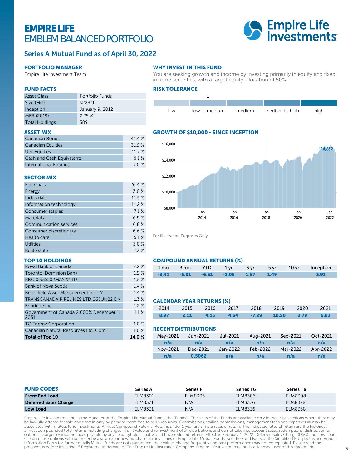## EMPIRE LIFE EMBLEM BALANCED PORTFOLIO



#### Series A Mutual Fund as of April 30, 2022

#### PORTFOLIO MANAGER

Empire Life Investment Team

#### FUND FACTS

| <b>Asset Class</b>    | Portfolio Funds |
|-----------------------|-----------------|
| Size (Mill)           | \$228.9         |
| Inception             | January 9, 2012 |
| MER (2019)            | 225%            |
| <b>Total Holdings</b> | 389             |

#### ASSET MIX

| Canadian Bonds            | 41.4% |
|---------------------------|-------|
| <b>Canadian Equities</b>  | 31.9% |
| U.S. Equities             | 11.7% |
| Cash and Cash Equivalents | 8.1%  |
| International Equities    | 7.0%  |

#### SECTOR MIX

| <b>Financials</b>             | 26.4 % |
|-------------------------------|--------|
| Energy                        | 13.0 % |
| <b>Industrials</b>            | 11.5%  |
| Information technology        | 11.2 % |
| Consumer staples              | 7.1%   |
| <b>Materials</b>              | 6.9%   |
| <b>Communication services</b> | 6.8%   |
| Consumer discretionary        | 6.6%   |
| Health care                   | 5.1%   |
| <b>Utilities</b>              | 3.0%   |
| <b>Real Estate</b>            | 2.3%   |

#### TOP 10 HOLDINGS

| Royal Bank of Canada                            | 2.2%  |
|-------------------------------------------------|-------|
| <b>Toronto-Dominion Bank</b>                    | 1.9%  |
| RBC 0.95% 02MAY22 TD                            | 1.5%  |
| <b>Bank of Nova Scotia</b>                      | 1.4%  |
| Brookfield Asset Management Inc. 'A'            | 1.4%  |
| TRANSCANADA PIPELINES LTD 06JUN22 DN            | 1.3%  |
| Enbridge Inc.                                   | 1.2%  |
| Government of Canada 2.000% December 1,<br>2051 | 1.1%  |
| <b>TC Energy Corporation</b>                    | 1.0%  |
| Canadian Natural Resources Ltd. Com             | 1.0%  |
| <b>Total of Top 10</b>                          | 14.0% |

#### WHY INVEST IN THIS FUND

You are seeking growth and income by investing primarily in equity and fixed income securities, with a target equity allocation of 50%

#### RISK TOLERANCE



#### GROWTH OF \$10,000 - SINCE INCEPTION



For Illustration Purposes Only

#### COMPOUND ANNUAL RETURNS (%)

|                                               |  |  |  | 1 mo 3 mo YTD 1 yr 3 yr 5 yr 10 yr Inception |
|-----------------------------------------------|--|--|--|----------------------------------------------|
| $-3.41$ $-5.01$ $-6.51$ $-2.06$ $1.67$ $1.49$ |  |  |  |                                              |

#### CALENDAR YEAR RETURNS (%)

|         | 2014 2015 2016 2017 2018 2019 2020 2021 |  |  |      |
|---------|-----------------------------------------|--|--|------|
| $-8.97$ | 2.11 4.15 4.34 -7.29 10.50 3.79         |  |  | 6.83 |

#### RECENT DISTRIBUTIONS

| Mav-2021 | Jun-2021 | Jul-2021 | Aug-2021 | Sep-2021 | Oct-2021 |  |
|----------|----------|----------|----------|----------|----------|--|
| n/a      | n/a      | n/a      | n/a      | n/a      | n/a      |  |
| Nov-2021 | Dec-2021 | Jan-2022 | Feb-2022 | Mar-2022 | Apr-2022 |  |
| n/a      | 0.5062   | n/a      | n/a      | n/a      | n/a      |  |

| <b>FUND CODES</b>            | Series A | <b>Series F</b> | <b>Series T6</b> | Series T8      |  |
|------------------------------|----------|-----------------|------------------|----------------|--|
| <b>Front End Load</b>        | ELM8301  | ELM8303         | ELM8306          | <b>ELM8308</b> |  |
| <b>Deferred Sales Charge</b> | ELM8371  | N/A             | ELM8376          | <b>ELM8378</b> |  |
| <b>Low Load</b>              | ELM8331  | N/A             | ELM8336          | ELM8338        |  |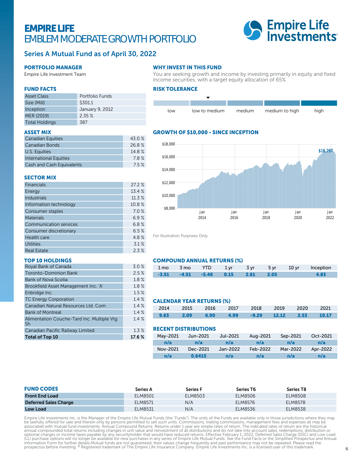## EMPIRE LIFE EMBLEM MODERATE GROWTH PORTFOLIO



### Series A Mutual Fund as of April 30, 2022

#### PORTFOLIO MANAGER

Empire Life Investment Team

#### WHY INVEST IN THIS FUND

RISK TOLERANCE

You are seeking growth and income by investing primarily in equity and fixed income securities, with a target equity allocation of 65%



#### GROWTH OF \$10,000 - SINCE INCEPTION



For Illustration Purposes Only

#### COMPOUND ANNUAL RETURNS (%)

|                                        |  |  |  | 1 mo 3 mo YTD 1 yr 3 yr 5 yr 10 yr Inception |
|----------------------------------------|--|--|--|----------------------------------------------|
| $-3.51$ $-4.51$ $-5.46$ 0.15 2.61 2.05 |  |  |  |                                              |

#### CALENDAR YEAR RETURNS (%)

|      |      | 2014 2015 2016 2017 2018 2019 2020 2021    |  |  |  |
|------|------|--------------------------------------------|--|--|--|
| 9.63 | 2.09 | 6.90   4.99   -9.29   12.12   2.53   10.17 |  |  |  |

#### RECENT DISTRIBUTIONS

| May-2021 | Jun-2021 | Jul-2021 | Aug-2021 | Sep-2021 | Oct-2021 |
|----------|----------|----------|----------|----------|----------|
| n/a      | n/a      | n/a      | n/a      | n/a      | n/a      |
| Nov-2021 | Dec-2021 | Jan-2022 | Feb-2022 | Mar-2022 | Apr-2022 |
| n/a      | 0.6415   | n/a      | n/a      | n/a      | n/a      |

| <b>FUND CODES</b>            | Series A | <b>Series F</b> | <b>Series T6</b> | Series T8      |  |
|------------------------------|----------|-----------------|------------------|----------------|--|
| <b>Front End Load</b>        | ELM8501  | ELM8503         | ELM8506          | <b>ELM8508</b> |  |
| <b>Deferred Sales Charge</b> | ELM8571  | N/A             | ELM8576          | <b>ELM8578</b> |  |
| <b>Low Load</b>              | ELM8531  | N/A             | ELM8536          | ELM8538        |  |

Empire Life Investments Inc. is the Manager of the Empire Life Mutual Funds (the "Funds"). The units of the Funds are available only in those jurisdictions where they may be lawfully offered for sale and therein only by persons permitted to sell such units. Commissions, trailing commissions, management fees and expenses all may be<br>associated with mutual fund investments. Annual Compound Ret Information Form for further details.Mutual funds are not guaranteed, their values change frequently and past performance may not be repeated. Please read the<br>prospectus before investing. ® Registered trademark of The Empi

#### FUND FACTS

| <b>Asset Class</b>    | Portfolio Funds |
|-----------------------|-----------------|
| Size (Mill)           | \$301.1         |
| Inception             | January 9, 2012 |
| MER (2019)            | 2.35%           |
| <b>Total Holdings</b> | 387             |

#### ASSET MIX

| <b>Canadian Equities</b>         | 43.0 % |
|----------------------------------|--------|
| <b>Canadian Bonds</b>            | 26.8%  |
| U.S. Equities                    | 14.8 % |
| International Equities           | 78%    |
| <b>Cash and Cash Equivalents</b> | 75%    |

#### SECTOR MIX

| Financials                    | 27.2%  |
|-------------------------------|--------|
| Energy                        | 13.4 % |
| <b>Industrials</b>            | 11.3 % |
| Information technology        | 10.8 % |
| Consumer staples              | 7.0%   |
| <b>Materials</b>              | 6.9%   |
| <b>Communication services</b> | 6.8%   |
| Consumer discretionary        | 6.5%   |
| Health care                   | 4.8%   |
| <b>Utilities</b>              | 3.1%   |
| <b>Real Estate</b>            | 2.3%   |

#### TOP 10 HOLDINGS

| Royal Bank of Canada                             | 3.0%   |
|--------------------------------------------------|--------|
| <b>Toronto-Dominion Bank</b>                     | 2.5%   |
| Bank of Nova Scotia                              | 1.8%   |
| Brookfield Asset Management Inc. 'A'             | 1.8%   |
| Enbridge Inc.                                    | 1.5%   |
| <b>TC Energy Corporation</b>                     | 1.4%   |
| Canadian Natural Resources Ltd. Com              | 1.4%   |
| <b>Bank of Montreal</b>                          | 1.4%   |
| Alimentation Couche-Tard Inc. Multiple Vtg<br>Sh | 1.4%   |
| Canadian Pacific Railway Limited                 | 1.3%   |
| Total of Top 10                                  | 17.6 % |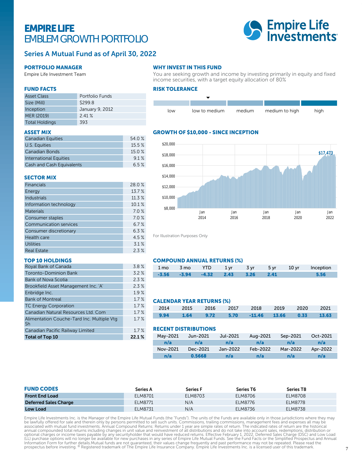## EMPIRE LIFE EMBLEM GROWTH PORTFOLIO



#### Series A Mutual Fund as of April 30, 2022

#### PORTFOLIO MANAGER

Empire Life Investment Team

#### FUND FACTS

| <b>Asset Class</b>    | Portfolio Funds |
|-----------------------|-----------------|
| Size (Mill)           | \$299.8         |
| Inception             | January 9, 2012 |
| MER (2019)            | 241%            |
| <b>Total Holdings</b> | 393             |

#### ASSET MIX

| <b>Canadian Equities</b>         | 54.0 %   |
|----------------------------------|----------|
| U.S. Equities                    | $15.5\%$ |
| <b>Canadian Bonds</b>            | 15.0%    |
| International Equities           | 91%      |
| <b>Cash and Cash Equivalents</b> | 6.5%     |

#### SECTOR MIX

| <b>Financials</b>             | 28.0%  |
|-------------------------------|--------|
| Energy                        | 13.7%  |
| <b>Industrials</b>            | 11.3 % |
| Information technology        | 10.1%  |
| <b>Materials</b>              | 7.0%   |
| Consumer staples              | 7.0%   |
| <b>Communication services</b> | 6.7%   |
| Consumer discretionary        | 6.3%   |
| Health care                   | 4.5%   |
| <b>Utilities</b>              | 3.1%   |
| <b>Real Estate</b>            | 2.3%   |

#### TOP 10 HOLDINGS

| Royal Bank of Canada                             | 3.8%  |
|--------------------------------------------------|-------|
| <b>Toronto-Dominion Bank</b>                     | 3.2%  |
| <b>Bank of Nova Scotia</b>                       | 2.3%  |
| Brookfield Asset Management Inc. 'A'             | 2.3%  |
| Enbridge Inc.                                    | 1.9%  |
| <b>Bank of Montreal</b>                          | 1.7%  |
| <b>TC Energy Corporation</b>                     | 1.7%  |
| Canadian Natural Resources Ltd. Com              | 1.7%  |
| Alimentation Couche-Tard Inc. Multiple Vtg<br>Sh | 1.7%  |
| Canadian Pacific Railway Limited                 | 1.7%  |
| Total of Top 10                                  | 22.1% |

#### WHY INVEST IN THIS FUND

You are seeking growth and income by investing primarily in equity and fixed income securities, with a target equity allocation of 80%

#### RISK TOLERANCE



#### GROWTH OF \$10,000 - SINCE INCEPTION



For Illustration Purposes Only

#### COMPOUND ANNUAL RETURNS (%)

|  |                                              |  |  | 1 mo 3 mo YTD 1 yr 3 yr 5 yr 10 yr Inception |
|--|----------------------------------------------|--|--|----------------------------------------------|
|  | $-3.56$ $-3.94$ $-4.32$ $2.43$ $3.26$ $2.41$ |  |  |                                              |

#### CALENDAR YEAR RETURNS (%)

|  |  | 2014 2015 2016 2017 2018 2019 2020 2021     |  |  |
|--|--|---------------------------------------------|--|--|
|  |  | 9.94 1.64 9.72 5.70 -11.46 13.66 0.33 13.63 |  |  |

#### RECENT DISTRIBUTIONS

 $\%$ 

| May-2021 | Jun-2021 | Jul-2021 | Aug-2021 | Sep-2021 | Oct-2021 |
|----------|----------|----------|----------|----------|----------|
| n/a      | n/a      | n/a      | n/a      | n/a      | n/a      |
| Nov-2021 | Dec-2021 | Jan-2022 | Feb-2022 | Mar-2022 | Apr-2022 |
| n/a      | 0.5668   | n/a      | n/a      | n/a      | n/a      |

| <b>FUND CODES</b>            | Series A | <b>Series F</b> | Series T6 | Series T8      |  |
|------------------------------|----------|-----------------|-----------|----------------|--|
| <b>Front End Load</b>        | ELM8701  | ELM8703         | ELM8706   | ELM8708        |  |
| <b>Deferred Sales Charge</b> | ELM8771  | N/A             | ELM8776   | <b>ELM8778</b> |  |
| <b>Low Load</b>              | ELM8731  | N/A             | ELM8736   | ELM8738        |  |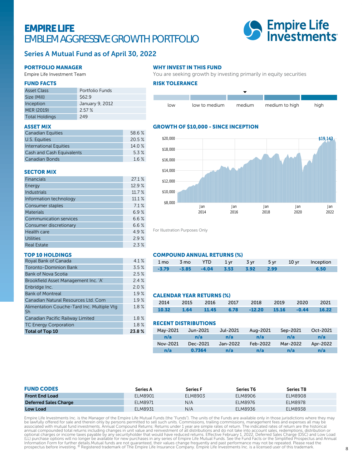## EMPIRE LIFE EMBLEM AGGRESSIVE GROWTH PORTFOLIO



### Series A Mutual Fund as of April 30, 2022

#### PORTFOLIO MANAGER

Empire Life Investment Team

#### FUND FACTS

| <b>Asset Class</b>    | Portfolio Funds |
|-----------------------|-----------------|
| Size (Mill)           | \$62.9          |
| Inception             | January 9, 2012 |
| MER (2019)            | 2.57%           |
| <b>Total Holdings</b> | 249             |

#### ASSET MIX

| <b>Canadian Equities</b>         | 58.6 % |
|----------------------------------|--------|
| U.S. Equities                    | 20.5%  |
| <b>International Equities</b>    | 14.0%  |
| <b>Cash and Cash Equivalents</b> | 5.3%   |
| Canadian Bonds                   | 16%    |

#### SECTOR MIX

| <b>Financials</b>             | 27.1%  |
|-------------------------------|--------|
| Energy                        | 12.9%  |
| <b>Industrials</b>            | 11.7 % |
| Information technology        | 11.1%  |
| Consumer staples              | 7.1%   |
| <b>Materials</b>              | 6.9%   |
| <b>Communication services</b> | 6.6%   |
| Consumer discretionary        | 6.6%   |
| Health care                   | 4.9%   |
| <b>Utilities</b>              | 2.9%   |
| <b>Real Estate</b>            | 2.3%   |

#### TOP 10 HOLDINGS

| Royal Bank of Canada                             | 4.1%  |
|--------------------------------------------------|-------|
| <b>Toronto-Dominion Bank</b>                     | 3.5%  |
| <b>Bank of Nova Scotia</b>                       | 2.5%  |
| Brookfield Asset Management Inc. 'A'             | 2.4%  |
| Enbridge Inc.                                    | 2.0%  |
| <b>Bank of Montreal</b>                          | 1.9%  |
| Canadian Natural Resources Ltd. Com              | 1.9%  |
| Alimentation Couche-Tard Inc. Multiple Vtg<br>Sh | 1.8%  |
| Canadian Pacific Railway Limited                 | 1.8%  |
| <b>TC Energy Corporation</b>                     | 1.8%  |
| <b>Total of Top 10</b>                           | 23.8% |

#### WHY INVEST IN THIS FUND

You are seeking growth by investing primarily in equity securities

#### RISK TOLERANCE



#### GROWTH OF \$10,000 - SINCE INCEPTION



For Illustration Purposes Only

#### COMPOUND ANNUAL RETURNS (%)

|  |                                            |  |  | 1 mo 3 mo YTD 1 yr 3 yr 5 yr 10 yr Inception |
|--|--------------------------------------------|--|--|----------------------------------------------|
|  | $-3.79$ $-3.85$ $-4.04$ $3.53$ $3.92$ 2.99 |  |  |                                              |

#### CALENDAR YEAR RETURNS (%)

|  |  | 2014 2015 2016 2017 2018 2019 2020 2021        |  |  |
|--|--|------------------------------------------------|--|--|
|  |  | 10.32 1.64 11.45 6.78 -12.20 15.16 -0.44 16.22 |  |  |

#### RECENT DISTRIBUTIONS

| May-2021 | Jun-2021 | Jul-2021 | Aug-2021 | Sep-2021 | Oct-2021 |
|----------|----------|----------|----------|----------|----------|
| n/a      | n/a      | n/a      | n/a      | n/a      | n/a      |
| Nov-2021 | Dec-2021 | Jan-2022 | Feb-2022 | Mar-2022 | Apr-2022 |
| n/a      | 0.7364   | n/a      | n/a      | n/a      | n/a      |

| <b>FUND CODES</b>            | <b>Series A</b> | <b>Series F</b> | Series T6 | Series T8      |  |
|------------------------------|-----------------|-----------------|-----------|----------------|--|
| <b>Front End Load</b>        | ELM8901         | ELM8903         | ELM8906   | ELM8908        |  |
| <b>Deferred Sales Charge</b> | ELM8971         | N/A             | ELM8976   | <b>ELM8978</b> |  |
| <b>Low Load</b>              | ELM8931         | N/A             | ELM8936   | ELM8938        |  |